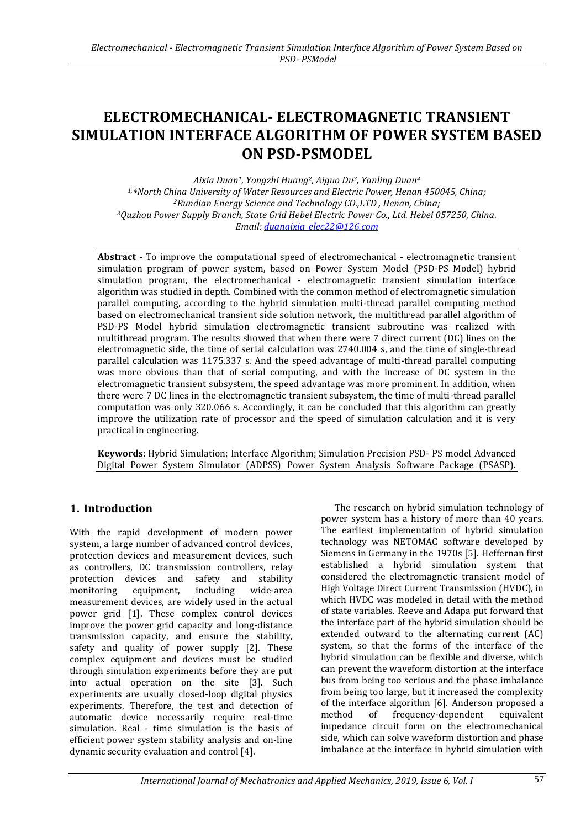# **ELECTROMECHANICAL- ELECTROMAGNETIC TRANSIENT SIMULATION INTERFACE ALGORITHM OF POWER SYSTEM BASED ON PSD-PSMODEL**

*Aixia Duan1, Yongzhi Huang2, Aiguo Du3, Yanling Duan<sup>4</sup> 1, 4North China University of Water Resources and Electric Power, Henan 450045, China; <sup>2</sup>Rundian Energy Science and Technology CO.,LTD , Henan, China; <sup>3</sup>Quzhou Power Supply Branch, State Grid Hebei Electric Power Co., Ltd. Hebei 057250, China. Email[: duanaixia\\_elec22@126.com](mailto:duanaixia_elec22@126.com)*

**Abstract** - To improve the computational speed of electromechanical - electromagnetic transient simulation program of power system, based on Power System Model (PSD-PS Model) hybrid simulation program, the electromechanical - electromagnetic transient simulation interface algorithm was studied in depth. Combined with the common method of electromagnetic simulation parallel computing, according to the hybrid simulation multi-thread parallel computing method based on electromechanical transient side solution network, the multithread parallel algorithm of PSD-PS Model hybrid simulation electromagnetic transient subroutine was realized with multithread program. The results showed that when there were 7 direct current (DC) lines on the electromagnetic side, the time of serial calculation was 2740.004 s, and the time of single-thread parallel calculation was 1175.337 s. And the speed advantage of multi-thread parallel computing was more obvious than that of serial computing, and with the increase of DC system in the electromagnetic transient subsystem, the speed advantage was more prominent. In addition, when there were 7 DC lines in the electromagnetic transient subsystem, the time of multi-thread parallel computation was only 320.066 s. Accordingly, it can be concluded that this algorithm can greatly improve the utilization rate of processor and the speed of simulation calculation and it is very practical in engineering.

**Keywords**: Hybrid Simulation; Interface Algorithm; Simulation Precision PSD- PS model Advanced Digital Power System Simulator (ADPSS) Power System Analysis Software Package (PSASP).

# **1. Introduction**

With the rapid development of modern power system, a large number of advanced control devices, protection devices and measurement devices, such as controllers, DC transmission controllers, relay protection devices and safety and stability monitoring equipment, including wide-area measurement devices, are widely used in the actual power grid [1]. These complex control devices improve the power grid capacity and long-distance transmission capacity, and ensure the stability, safety and quality of power supply [2]. These complex equipment and devices must be studied through simulation experiments before they are put into actual operation on the site [3]. Such experiments are usually closed-loop digital physics experiments. Therefore, the test and detection of automatic device necessarily require real-time simulation. Real - time simulation is the basis of efficient power system stability analysis and on-line dynamic security evaluation and control [4].

The research on hybrid simulation technology of power system has a history of more than 40 years. The earliest implementation of hybrid simulation technology was NETOMAC software developed by Siemens in Germany in the 1970s [5]. Heffernan first established a hybrid simulation system that considered the electromagnetic transient model of High Voltage Direct Current Transmission (HVDC), in which HVDC was modeled in detail with the method of state variables. Reeve and Adapa put forward that the interface part of the hybrid simulation should be extended outward to the alternating current (AC) system, so that the forms of the interface of the hybrid simulation can be flexible and diverse, which can prevent the waveform distortion at the interface bus from being too serious and the phase imbalance from being too large, but it increased the complexity of the interface algorithm [6]. Anderson proposed a method of frequency-dependent equivalent impedance circuit form on the electromechanical side, which can solve waveform distortion and phase imbalance at the interface in hybrid simulation with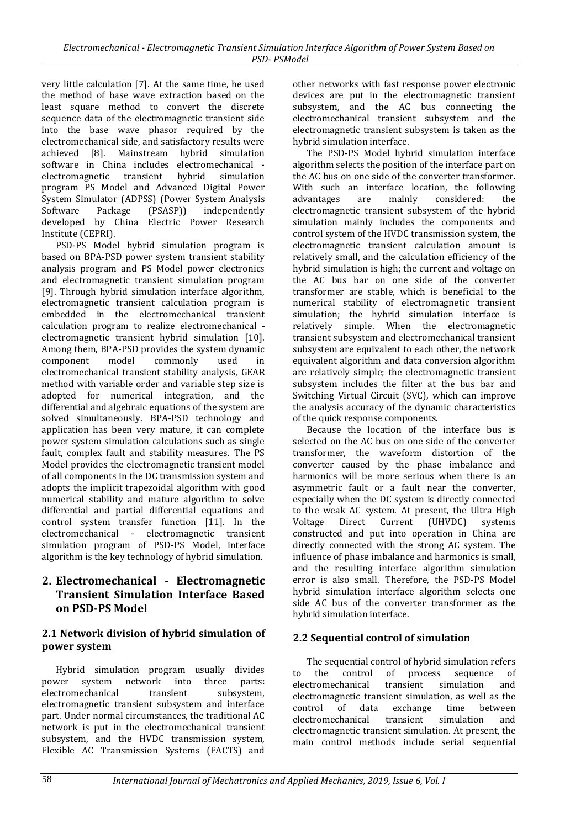very little calculation [7]. At the same time, he used the method of base wave extraction based on the least square method to convert the discrete sequence data of the electromagnetic transient side into the base wave phasor required by the electromechanical side, and satisfactory results were achieved [8]. Mainstream hybrid simulation software in China includes electromechanical electromagnetic transient hybrid simulation program PS Model and Advanced Digital Power System Simulator (ADPSS) (Power System Analysis Software Package (PSASP)) independently developed by China Electric Power Research Institute (CEPRI).

PSD-PS Model hybrid simulation program is based on BPA-PSD power system transient stability analysis program and PS Model power electronics and electromagnetic transient simulation program [9]. Through hybrid simulation interface algorithm, electromagnetic transient calculation program is embedded in the electromechanical transient calculation program to realize electromechanical electromagnetic transient hybrid simulation [10]. Among them, BPA-PSD provides the system dynamic component model commonly used in electromechanical transient stability analysis, GEAR method with variable order and variable step size is adopted for numerical integration, and the differential and algebraic equations of the system are solved simultaneously. BPA-PSD technology and application has been very mature, it can complete power system simulation calculations such as single fault, complex fault and stability measures. The PS Model provides the electromagnetic transient model of all components in the DC transmission system and adopts the implicit trapezoidal algorithm with good numerical stability and mature algorithm to solve differential and partial differential equations and control system transfer function [11]. In the electromechanical - electromagnetic transient simulation program of PSD-PS Model, interface algorithm is the key technology of hybrid simulation.

# **2. Electromechanical - Electromagnetic Transient Simulation Interface Based on PSD-PS Model**

## **2.1 Network division of hybrid simulation of power system**

Hybrid simulation program usually divides power system network into three parts: electromechanical transient subsystem, electromagnetic transient subsystem and interface part. Under normal circumstances, the traditional AC network is put in the electromechanical transient subsystem, and the HVDC transmission system, Flexible AC Transmission Systems (FACTS) and

other networks with fast response power electronic devices are put in the electromagnetic transient subsystem, and the AC bus connecting the electromechanical transient subsystem and the electromagnetic transient subsystem is taken as the hybrid simulation interface.

The PSD-PS Model hybrid simulation interface algorithm selects the position of the interface part on the AC bus on one side of the converter transformer. With such an interface location, the following advantages are mainly considered: the electromagnetic transient subsystem of the hybrid simulation mainly includes the components and control system of the HVDC transmission system, the electromagnetic transient calculation amount is relatively small, and the calculation efficiency of the hybrid simulation is high; the current and voltage on the AC bus bar on one side of the converter transformer are stable, which is beneficial to the numerical stability of electromagnetic transient simulation; the hybrid simulation interface is relatively simple. When the electromagnetic transient subsystem and electromechanical transient subsystem are equivalent to each other, the network equivalent algorithm and data conversion algorithm are relatively simple; the electromagnetic transient subsystem includes the filter at the bus bar and Switching Virtual Circuit (SVC), which can improve the analysis accuracy of the dynamic characteristics of the quick response components.

Because the location of the interface bus is selected on the AC bus on one side of the converter transformer, the waveform distortion of the converter caused by the phase imbalance and harmonics will be more serious when there is an asymmetric fault or a fault near the converter, especially when the DC system is directly connected to the weak AC system. At present, the Ultra High Voltage Direct Current (UHVDC) systems constructed and put into operation in China are directly connected with the strong AC system. The influence of phase imbalance and harmonics is small, and the resulting interface algorithm simulation error is also small. Therefore, the PSD-PS Model hybrid simulation interface algorithm selects one side AC bus of the converter transformer as the hybrid simulation interface.

# **2.2 Sequential control of simulation**

The sequential control of hybrid simulation refers to the control of process sequence of electromechanical transient simulation and electromagnetic transient simulation, as well as the control of data exchange time between electromechanical transient simulation and electromagnetic transient simulation. At present, the main control methods include serial sequential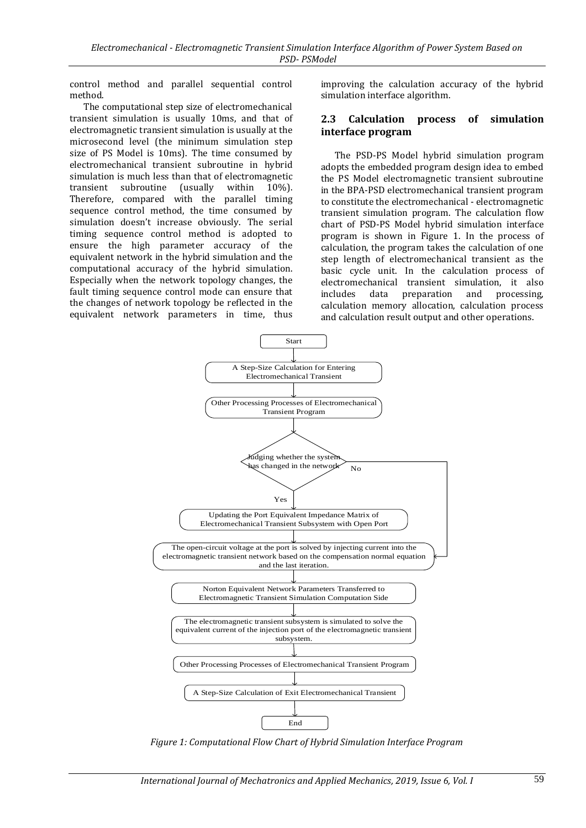control method and parallel sequential control method.

The computational step size of electromechanical transient simulation is usually 10ms, and that of electromagnetic transient simulation is usually at the microsecond level (the minimum simulation step size of PS Model is 10ms). The time consumed by electromechanical transient subroutine in hybrid simulation is much less than that of electromagnetic transient subroutine (usually within 10%). Therefore, compared with the parallel timing sequence control method, the time consumed by simulation doesn't increase obviously. The serial timing sequence control method is adopted to ensure the high parameter accuracy of the equivalent network in the hybrid simulation and the computational accuracy of the hybrid simulation. Especially when the network topology changes, the fault timing sequence control mode can ensure that the changes of network topology be reflected in the equivalent network parameters in time, thus

improving the calculation accuracy of the hybrid simulation interface algorithm.

#### **2.3 Calculation process of simulation interface program**

The PSD-PS Model hybrid simulation program adopts the embedded program design idea to embed the PS Model electromagnetic transient subroutine in the BPA-PSD electromechanical transient program to constitute the electromechanical - electromagnetic transient simulation program. The calculation flow chart of PSD-PS Model hybrid simulation interface program is shown in Figure 1. In the process of calculation, the program takes the calculation of one step length of electromechanical transient as the basic cycle unit. In the calculation process of electromechanical transient simulation, it also includes data preparation and processing, calculation memory allocation, calculation process and calculation result output and other operations.



*Figure 1: Computational Flow Chart of Hybrid Simulation Interface Program*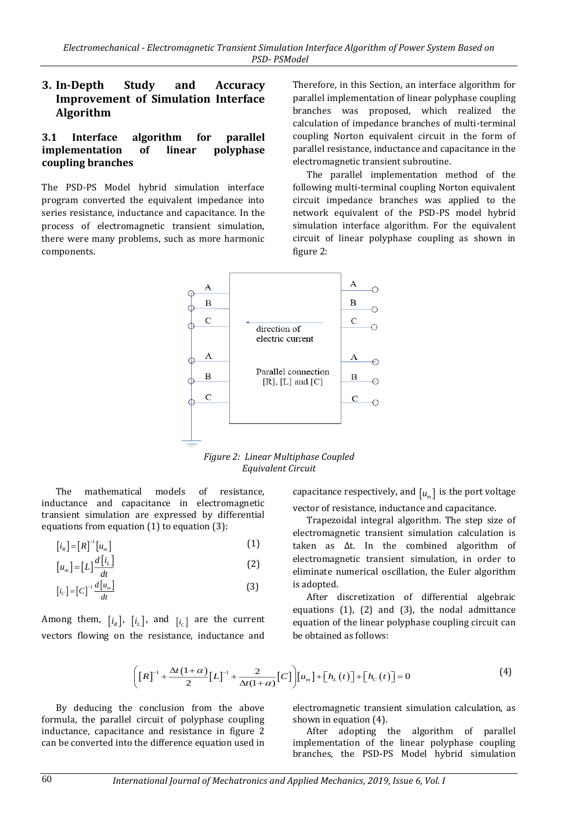## **3. In-Depth Study and Accuracy Improvement of Simulation Interface Algorithm**

#### **3.1 Interface algorithm for parallel implementation of linear polyphase coupling branches**

The PSD-PS Model hybrid simulation interface program converted the equivalent impedance into series resistance, inductance and capacitance. In the process of electromagnetic transient simulation, there were many problems, such as more harmonic components.

Therefore, in this Section, an interface algorithm for parallel implementation of linear polyphase coupling branches was proposed, which realized the calculation of impedance branches of multi-terminal coupling Norton equivalent circuit in the form of parallel resistance, inductance and capacitance in the electromagnetic transient subroutine.

The parallel implementation method of the following multi-terminal coupling Norton equivalent circuit impedance branches was applied to the network equivalent of the PSD-PS model hybrid simulation interface algorithm. For the equivalent circuit of linear polyphase coupling as shown in figure 2:



*Figure 2: Linear Multiphase Coupled Equivalent Circuit*

The mathematical models of resistance, inductance and capacitance in electromagnetic transient simulation are expressed by differential equations from equation (1) to equation (3):

$$
\left[i_{R}\right] = \left[R\right]^{-1}\left[u_{m}\right] \tag{1}
$$

$$
[u_m] = [L] \frac{d[i_L]}{dt} \tag{2}
$$

$$
[i_c] = [C]^{-1} \frac{d[u_m]}{dt} \tag{3}
$$

Among them,  $[i_R]$ ,  $[i_L]$ , and  $[i_C]$  are the current vectors flowing on the resistance, inductance and

capacitance respectively, and  $\left[\begin{smallmatrix} u_m \end{smallmatrix}\right]$  is the port voltage vector of resistance, inductance and capacitance.

Trapezoidal integral algorithm. The step size of electromagnetic transient simulation calculation is taken as Δt. In the combined algorithm of electromagnetic transient simulation, in order to eliminate numerical oscillation, the Euler algorithm is adopted.

After discretization of differential algebraic equations (1), (2) and (3), the nodal admittance equation of the linear polyphase coupling circuit can be obtained as follows:

$$
\left( \left[ R \right]^{-1} + \frac{\Delta t \left( 1 + \alpha \right)}{2} \left[ L \right]^{-1} + \frac{2}{\Delta t \left( 1 + \alpha \right)} \left[ C \right] \right) \left[ u_m \right] + \left[ h_c \left( t \right) \right] + \left[ h_c \left( t \right) \right] = 0 \tag{4}
$$

By deducing the conclusion from the above formula, the parallel circuit of polyphase coupling inductance, capacitance and resistance in figure 2 can be converted into the difference equation used in

electromagnetic transient simulation calculation, as shown in equation (4).

After adopting the algorithm of parallel implementation of the linear polyphase coupling branches, the PSD-PS Model hybrid simulation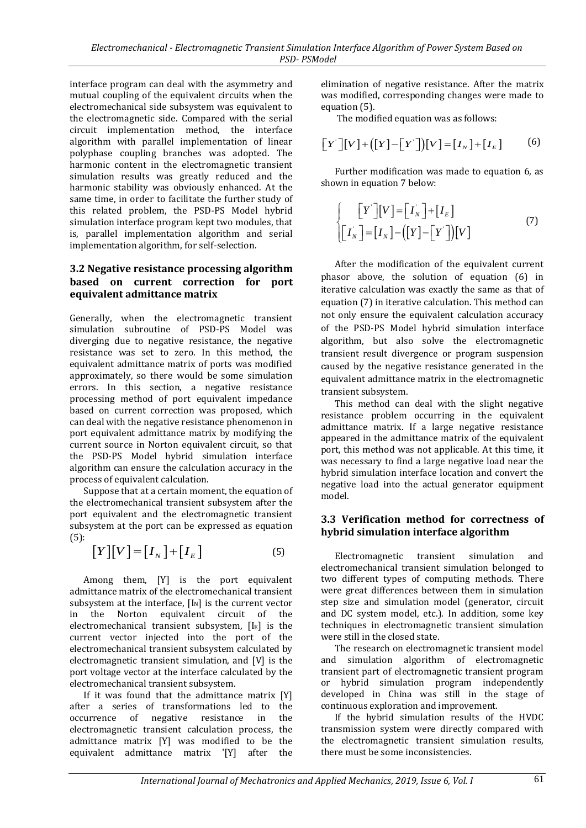interface program can deal with the asymmetry and mutual coupling of the equivalent circuits when the electromechanical side subsystem was equivalent to the electromagnetic side. Compared with the serial circuit implementation method, the interface algorithm with parallel implementation of linear polyphase coupling branches was adopted. The harmonic content in the electromagnetic transient simulation results was greatly reduced and the harmonic stability was obviously enhanced. At the same time, in order to facilitate the further study of this related problem, the PSD-PS Model hybrid simulation interface program kept two modules, that is, parallel implementation algorithm and serial implementation algorithm, for self-selection.

#### **3.2 Negative resistance processing algorithm based on current correction for port equivalent admittance matrix**

Generally, when the electromagnetic transient simulation subroutine of PSD-PS Model was diverging due to negative resistance, the negative resistance was set to zero. In this method, the equivalent admittance matrix of ports was modified approximately, so there would be some simulation errors. In this section, a negative resistance processing method of port equivalent impedance based on current correction was proposed, which can deal with the negative resistance phenomenon in port equivalent admittance matrix by modifying the current source in Norton equivalent circuit, so that the PSD-PS Model hybrid simulation interface algorithm can ensure the calculation accuracy in the process of equivalent calculation.

Suppose that at a certain moment, the equation of the electromechanical transient subsystem after the port equivalent and the electromagnetic transient subsystem at the port can be expressed as equation (5):

$$
[Y][V] = [I_N] + [I_E]
$$
\n(5)

Among them, [Y] is the port equivalent admittance matrix of the electromechanical transient subsystem at the interface,  $[I_N]$  is the current vector in the Norton equivalent circuit of the electromechanical transient subsystem,  $[I<sub>E</sub>]$  is the current vector injected into the port of the electromechanical transient subsystem calculated by electromagnetic transient simulation, and [V] is the port voltage vector at the interface calculated by the electromechanical transient subsystem.

If it was found that the admittance matrix [Y] after a series of transformations led to the occurrence of negative resistance in the electromagnetic transient calculation process, the admittance matrix [Y] was modified to be the equivalent admittance matrix '[Y] after the

elimination of negative resistance. After the matrix was modified, corresponding changes were made to equation (5).

The modified equation was as follows:

$$
\begin{bmatrix} Y' \end{bmatrix} \begin{bmatrix} V \end{bmatrix} + \left( \begin{bmatrix} Y \end{bmatrix} - \begin{bmatrix} Y' \end{bmatrix} \right) \begin{bmatrix} V \end{bmatrix} = \begin{bmatrix} I_N \end{bmatrix} + \begin{bmatrix} I_E \end{bmatrix} \tag{6}
$$

Further modification was made to equation 6, as shown in equation 7 below:

$$
\begin{cases}\n\begin{bmatrix}\nY'\n\end{bmatrix}\n\begin{bmatrix}\nV'\n\end{bmatrix} =\n\begin{bmatrix}\nI_N\n\end{bmatrix} +\n\begin{bmatrix}\nI_E\n\end{bmatrix} \\
\begin{bmatrix}\nI_N\n\end{bmatrix} =\n\begin{bmatrix}\nI_N\n\end{bmatrix} -\n\begin{bmatrix}\nY'\n\end{bmatrix} -\n\begin{bmatrix}\nY'\n\end{bmatrix}\n\begin{bmatrix}\nV\n\end{bmatrix}\n\end{cases}\n\tag{7}
$$

After the modification of the equivalent current phasor above, the solution of equation (6) in iterative calculation was exactly the same as that of equation (7) in iterative calculation. This method can not only ensure the equivalent calculation accuracy of the PSD-PS Model hybrid simulation interface algorithm, but also solve the electromagnetic transient result divergence or program suspension caused by the negative resistance generated in the equivalent admittance matrix in the electromagnetic transient subsystem.

This method can deal with the slight negative resistance problem occurring in the equivalent admittance matrix. If a large negative resistance appeared in the admittance matrix of the equivalent port, this method was not applicable. At this time, it was necessary to find a large negative load near the hybrid simulation interface location and convert the negative load into the actual generator equipment model.

## **3.3 Verification method for correctness of hybrid simulation interface algorithm**

Electromagnetic transient simulation and electromechanical transient simulation belonged to two different types of computing methods. There were great differences between them in simulation step size and simulation model (generator, circuit and DC system model, etc.). In addition, some key techniques in electromagnetic transient simulation were still in the closed state.

The research on electromagnetic transient model and simulation algorithm of electromagnetic transient part of electromagnetic transient program or hybrid simulation program independently developed in China was still in the stage of continuous exploration and improvement.

If the hybrid simulation results of the HVDC transmission system were directly compared with the electromagnetic transient simulation results, there must be some inconsistencies.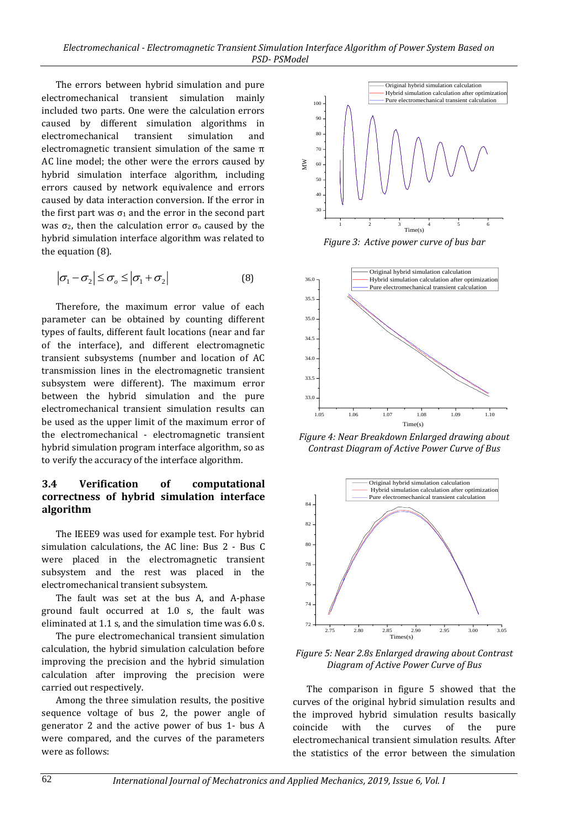The errors between hybrid simulation and pure electromechanical transient simulation mainly included two parts. One were the calculation errors caused by different simulation algorithms in electromechanical transient simulation and electromagnetic transient simulation of the same  $π$ AC line model; the other were the errors caused by hybrid simulation interface algorithm, including errors caused by network equivalence and errors caused by data interaction conversion. If the error in the first part was  $\sigma_1$  and the error in the second part was σ<sub>2</sub>, then the calculation error σ<sub>0</sub> caused by the hybrid simulation interface algorithm was related to the equation (8).

$$
\left|\sigma_1 - \sigma_2\right| \le \sigma_o \le \left|\sigma_1 + \sigma_2\right| \tag{8}
$$

Therefore, the maximum error value of each parameter can be obtained by counting different types of faults, different fault locations (near and far of the interface), and different electromagnetic transient subsystems (number and location of AC transmission lines in the electromagnetic transient subsystem were different). The maximum error between the hybrid simulation and the pure electromechanical transient simulation results can be used as the upper limit of the maximum error of the electromechanical - electromagnetic transient hybrid simulation program interface algorithm, so as to verify the accuracy of the interface algorithm.

## **3.4 Verification of computational correctness of hybrid simulation interface algorithm**

The IEEE9 was used for example test. For hybrid simulation calculations, the AC line: Bus 2 - Bus C were placed in the electromagnetic transient subsystem and the rest was placed in the electromechanical transient subsystem.

The fault was set at the bus A, and A-phase ground fault occurred at 1.0 s, the fault was eliminated at 1.1 s, and the simulation time was 6.0 s.

The pure electromechanical transient simulation calculation, the hybrid simulation calculation before improving the precision and the hybrid simulation calculation after improving the precision were carried out respectively.

Among the three simulation results, the positive sequence voltage of bus 2, the power angle of generator 2 and the active power of bus 1- bus A were compared, and the curves of the parameters were as follows:



*Figure 3: Active power curve of bus bar*



*Figure 4: Near Breakdown Enlarged drawing about Contrast Diagram of Active Power Curve of Bus*



*Figure 5: Near 2.8s Enlarged drawing about Contrast Diagram of Active Power Curve of Bus*

The comparison in figure 5 showed that the curves of the original hybrid simulation results and the improved hybrid simulation results basically coincide with the curves of the pure electromechanical transient simulation results. After the statistics of the error between the simulation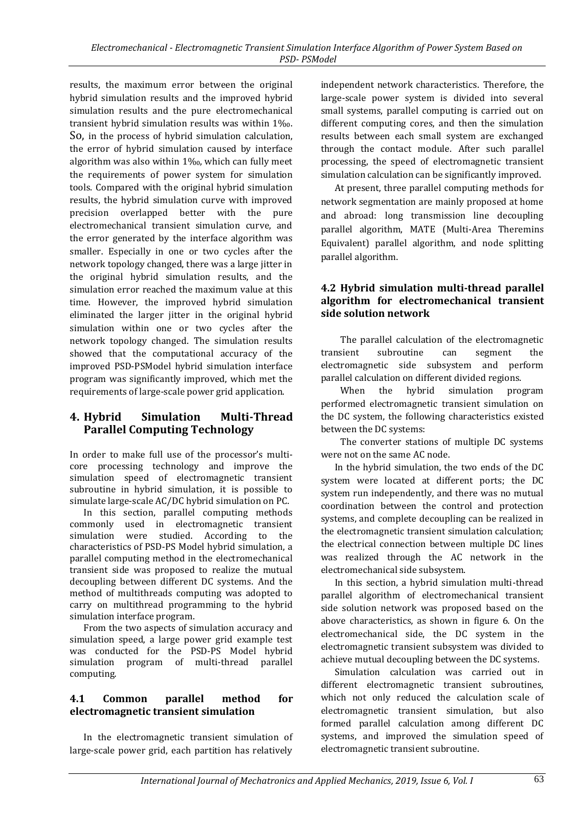results, the maximum error between the original hybrid simulation results and the improved hybrid simulation results and the pure electromechanical transient hybrid simulation results was within 1‰. So, in the process of hybrid simulation calculation, the error of hybrid simulation caused by interface algorithm was also within 1‰, which can fully meet the requirements of power system for simulation tools. Compared with the original hybrid simulation results, the hybrid simulation curve with improved precision overlapped better with the pure electromechanical transient simulation curve, and the error generated by the interface algorithm was smaller. Especially in one or two cycles after the network topology changed, there was a large jitter in the original hybrid simulation results, and the simulation error reached the maximum value at this time. However, the improved hybrid simulation eliminated the larger jitter in the original hybrid simulation within one or two cycles after the network topology changed. The simulation results showed that the computational accuracy of the improved PSD-PSModel hybrid simulation interface program was significantly improved, which met the requirements of large-scale power grid application.

## **4. Hybrid Simulation Multi-Thread Parallel Computing Technology**

In order to make full use of the processor's multicore processing technology and improve the simulation speed of electromagnetic transient subroutine in hybrid simulation, it is possible to simulate large-scale AC/DC hybrid simulation on PC.

In this section, parallel computing methods commonly used in electromagnetic transient simulation were studied. According to the characteristics of PSD-PS Model hybrid simulation, a parallel computing method in the electromechanical transient side was proposed to realize the mutual decoupling between different DC systems. And the method of multithreads computing was adopted to carry on multithread programming to the hybrid simulation interface program.

From the two aspects of simulation accuracy and simulation speed, a large power grid example test was conducted for the PSD-PS Model hybrid simulation program of multi-thread parallel computing.

#### **4.1 Common parallel method for electromagnetic transient simulation**

In the electromagnetic transient simulation of large-scale power grid, each partition has relatively

independent network characteristics. Therefore, the large-scale power system is divided into several small systems, parallel computing is carried out on different computing cores, and then the simulation results between each small system are exchanged through the contact module. After such parallel processing, the speed of electromagnetic transient simulation calculation can be significantly improved.

At present, three parallel computing methods for network segmentation are mainly proposed at home and abroad: long transmission line decoupling parallel algorithm, MATE (Multi-Area Theremins Equivalent) parallel algorithm, and node splitting parallel algorithm.

#### **4.2 Hybrid simulation multi-thread parallel algorithm for electromechanical transient side solution network**

The parallel calculation of the electromagnetic transient subroutine can segment the electromagnetic side subsystem and perform parallel calculation on different divided regions.

When the hybrid simulation program performed electromagnetic transient simulation on the DC system, the following characteristics existed between the DC systems:

The converter stations of multiple DC systems were not on the same AC node.

In the hybrid simulation, the two ends of the DC system were located at different ports; the DC system run independently, and there was no mutual coordination between the control and protection systems, and complete decoupling can be realized in the electromagnetic transient simulation calculation; the electrical connection between multiple DC lines was realized through the AC network in the electromechanical side subsystem.

In this section, a hybrid simulation multi-thread parallel algorithm of electromechanical transient side solution network was proposed based on the above characteristics, as shown in figure 6. On the electromechanical side, the DC system in the electromagnetic transient subsystem was divided to achieve mutual decoupling between the DC systems.

Simulation calculation was carried out in different electromagnetic transient subroutines, which not only reduced the calculation scale of electromagnetic transient simulation, but also formed parallel calculation among different DC systems, and improved the simulation speed of electromagnetic transient subroutine.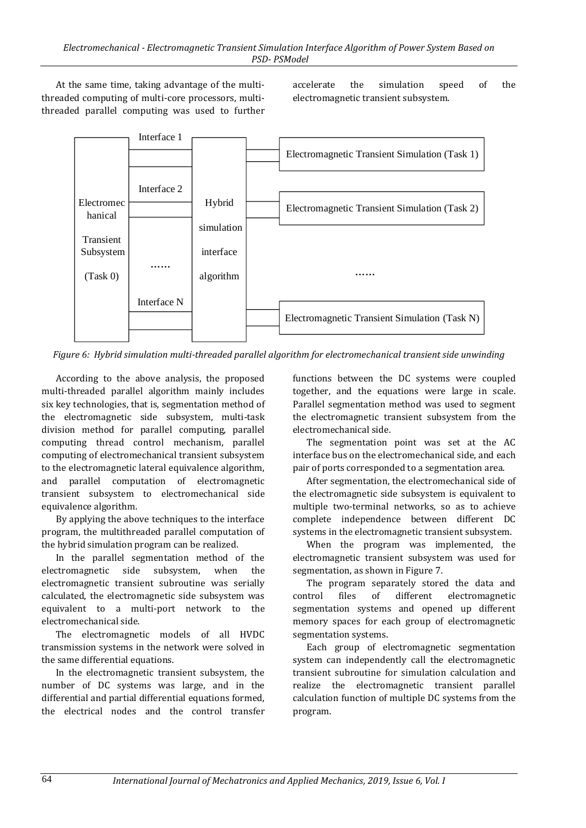At the same time, taking advantage of the multithreaded computing of multi-core processors, multithreaded parallel computing was used to further accelerate the simulation speed of the electromagnetic transient subsystem.



*Figure 6: Hybrid simulation multi-threaded parallel algorithm for electromechanical transient side unwinding*

According to the above analysis, the proposed multi-threaded parallel algorithm mainly includes six key technologies, that is, segmentation method of the electromagnetic side subsystem, multi-task division method for parallel computing, parallel computing thread control mechanism, parallel computing of electromechanical transient subsystem to the electromagnetic lateral equivalence algorithm, and parallel computation of electromagnetic transient subsystem to electromechanical side equivalence algorithm.

By applying the above techniques to the interface program, the multithreaded parallel computation of the hybrid simulation program can be realized.

In the parallel segmentation method of the electromagnetic side subsystem, when the electromagnetic transient subroutine was serially calculated, the electromagnetic side subsystem was equivalent to a multi-port network to the electromechanical side.

The electromagnetic models of all HVDC transmission systems in the network were solved in the same differential equations.

In the electromagnetic transient subsystem, the number of DC systems was large, and in the differential and partial differential equations formed, the electrical nodes and the control transfer functions between the DC systems were coupled together, and the equations were large in scale. Parallel segmentation method was used to segment the electromagnetic transient subsystem from the electromechanical side.

The segmentation point was set at the AC interface bus on the electromechanical side, and each pair of ports corresponded to a segmentation area.

After segmentation, the electromechanical side of the electromagnetic side subsystem is equivalent to multiple two-terminal networks, so as to achieve complete independence between different DC systems in the electromagnetic transient subsystem.

When the program was implemented, the electromagnetic transient subsystem was used for segmentation, as shown in Figure 7.

The program separately stored the data and control files of different electromagnetic segmentation systems and opened up different memory spaces for each group of electromagnetic segmentation systems.

Each group of electromagnetic segmentation system can independently call the electromagnetic transient subroutine for simulation calculation and realize the electromagnetic transient parallel calculation function of multiple DC systems from the program.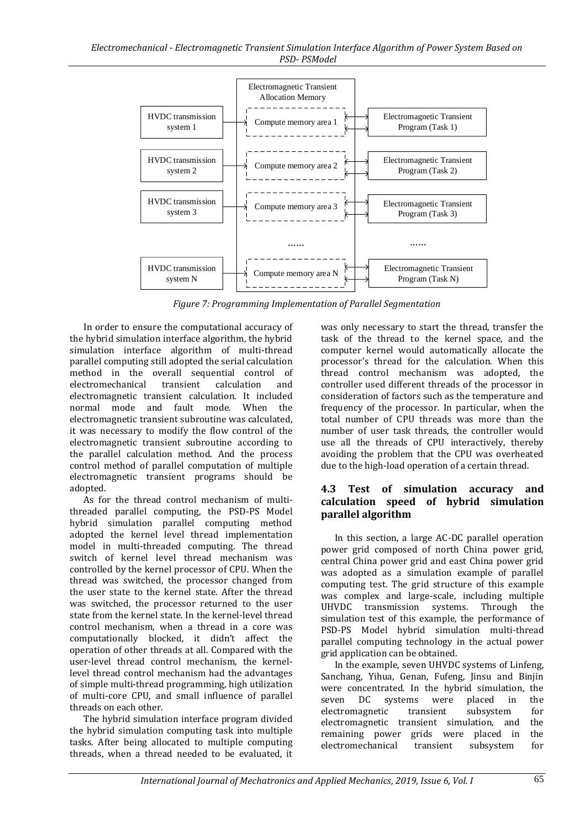

*Figure 7: Programming Implementation of Parallel Segmentation*

In order to ensure the computational accuracy of the hybrid simulation interface algorithm, the hybrid simulation interface algorithm of multi-thread parallel computing still adopted the serial calculation method in the overall sequential control of electromechanical transient calculation and electromagnetic transient calculation. It included normal mode and fault mode. When the electromagnetic transient subroutine was calculated, it was necessary to modify the flow control of the electromagnetic transient subroutine according to the parallel calculation method. And the process control method of parallel computation of multiple electromagnetic transient programs should be adopted.

As for the thread control mechanism of multithreaded parallel computing, the PSD-PS Model hybrid simulation parallel computing method adopted the kernel level thread implementation model in multi-threaded computing. The thread switch of kernel level thread mechanism was controlled by the kernel processor of CPU. When the thread was switched, the processor changed from the user state to the kernel state. After the thread was switched, the processor returned to the user state from the kernel state. In the kernel-level thread control mechanism, when a thread in a core was computationally blocked, it didn't affect the operation of other threads at all. Compared with the user-level thread control mechanism, the kernellevel thread control mechanism had the advantages of simple multi-thread programming, high utilization of multi-core CPU, and small influence of parallel threads on each other.

The hybrid simulation interface program divided the hybrid simulation computing task into multiple tasks. After being allocated to multiple computing threads, when a thread needed to be evaluated, it

was only necessary to start the thread, transfer the task of the thread to the kernel space, and the computer kernel would automatically allocate the processor's thread for the calculation. When this thread control mechanism was adopted, the controller used different threads of the processor in consideration of factors such as the temperature and frequency of the processor. In particular, when the total number of CPU threads was more than the number of user task threads, the controller would use all the threads of CPU interactively, thereby avoiding the problem that the CPU was overheated due to the high-load operation of a certain thread.

## **4.3 Test of simulation accuracy and calculation speed of hybrid simulation parallel algorithm**

In this section, a large AC-DC parallel operation power grid composed of north China power grid, central China power grid and east China power grid was adopted as a simulation example of parallel computing test. The grid structure of this example was complex and large-scale, including multiple UHVDC transmission systems. Through the simulation test of this example, the performance of PSD-PS Model hybrid simulation multi-thread parallel computing technology in the actual power grid application can be obtained.

In the example, seven UHVDC systems of Linfeng, Sanchang, Yihua, Genan, Fufeng, Jinsu and Binjin were concentrated. In the hybrid simulation, the seven DC systems were placed in the electromagnetic transient subsystem for electromagnetic transient simulation, and the remaining power grids were placed in the electromechanical transient subsystem for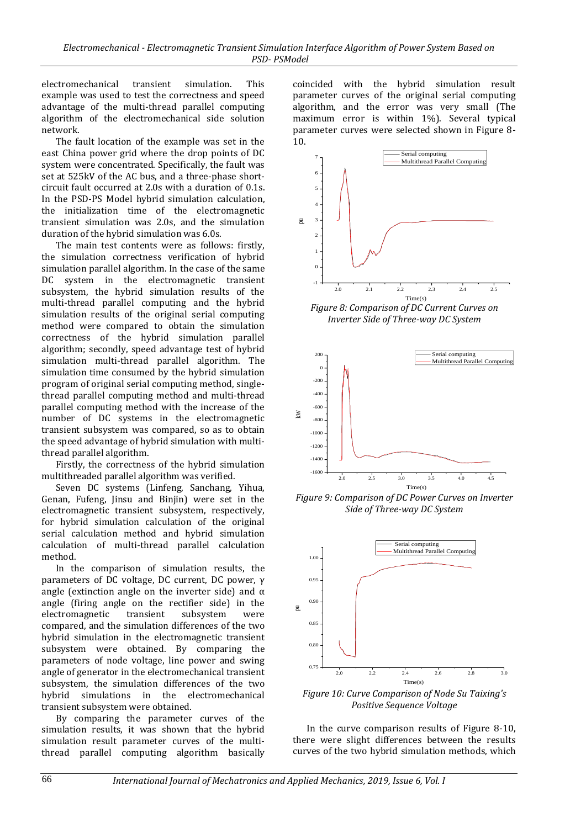electromechanical transient simulation. This example was used to test the correctness and speed advantage of the multi-thread parallel computing algorithm of the electromechanical side solution network.

The fault location of the example was set in the east China power grid where the drop points of DC system were concentrated. Specifically, the fault was set at 525kV of the AC bus, and a three-phase shortcircuit fault occurred at 2.0s with a duration of 0.1s. In the PSD-PS Model hybrid simulation calculation, the initialization time of the electromagnetic transient simulation was 2.0s, and the simulation duration of the hybrid simulation was 6.0s.

The main test contents were as follows: firstly, the simulation correctness verification of hybrid simulation parallel algorithm. In the case of the same DC system in the electromagnetic transient subsystem, the hybrid simulation results of the multi-thread parallel computing and the hybrid simulation results of the original serial computing method were compared to obtain the simulation correctness of the hybrid simulation parallel algorithm; secondly, speed advantage test of hybrid simulation multi-thread parallel algorithm. The simulation time consumed by the hybrid simulation program of original serial computing method, singlethread parallel computing method and multi-thread parallel computing method with the increase of the number of DC systems in the electromagnetic transient subsystem was compared, so as to obtain the speed advantage of hybrid simulation with multithread parallel algorithm.

Firstly, the correctness of the hybrid simulation multithreaded parallel algorithm was verified.

Seven DC systems (Linfeng, Sanchang, Yihua, Genan, Fufeng, Jinsu and Binjin) were set in the electromagnetic transient subsystem, respectively, for hybrid simulation calculation of the original serial calculation method and hybrid simulation calculation of multi-thread parallel calculation method.

In the comparison of simulation results, the parameters of DC voltage, DC current, DC power, γ angle (extinction angle on the inverter side) and  $\alpha$ angle (firing angle on the rectifier side) in the electromagnetic transient subsystem were compared, and the simulation differences of the two hybrid simulation in the electromagnetic transient subsystem were obtained. By comparing the parameters of node voltage, line power and swing angle of generator in the electromechanical transient subsystem, the simulation differences of the two hybrid simulations in the electromechanical transient subsystem were obtained.

By comparing the parameter curves of the simulation results, it was shown that the hybrid simulation result parameter curves of the multithread parallel computing algorithm basically coincided with the hybrid simulation result parameter curves of the original serial computing algorithm, and the error was very small (The maximum error is within 1%). Several typical parameter curves were selected shown in Figure 8- 10.



*Figure 8: Comparison of DC Current Curves on Inverter Side of Three-way DC System*



*Figure 9: Comparison of DC Power Curves on Inverter Side of Three-way DC System*



*Figure 10: Curve Comparison of Node Su Taixing's Positive Sequence Voltage*

In the curve comparison results of Figure 8-10, there were slight differences between the results curves of the two hybrid simulation methods, which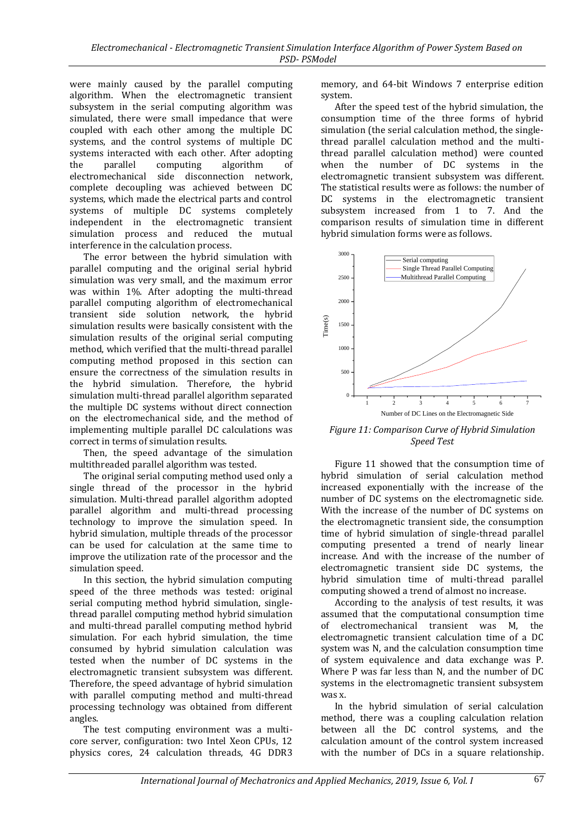were mainly caused by the parallel computing algorithm. When the electromagnetic transient subsystem in the serial computing algorithm was simulated, there were small impedance that were coupled with each other among the multiple DC systems, and the control systems of multiple DC systems interacted with each other. After adopting the parallel computing algorithm of electromechanical side disconnection network, complete decoupling was achieved between DC systems, which made the electrical parts and control systems of multiple DC systems completely independent in the electromagnetic transient simulation process and reduced the mutual interference in the calculation process.

The error between the hybrid simulation with parallel computing and the original serial hybrid simulation was very small, and the maximum error was within 1%. After adopting the multi-thread parallel computing algorithm of electromechanical transient side solution network, the hybrid simulation results were basically consistent with the simulation results of the original serial computing method, which verified that the multi-thread parallel computing method proposed in this section can ensure the correctness of the simulation results in the hybrid simulation. Therefore, the hybrid simulation multi-thread parallel algorithm separated the multiple DC systems without direct connection on the electromechanical side, and the method of implementing multiple parallel DC calculations was correct in terms of simulation results.

Then, the speed advantage of the simulation multithreaded parallel algorithm was tested.

The original serial computing method used only a single thread of the processor in the hybrid simulation. Multi-thread parallel algorithm adopted parallel algorithm and multi-thread processing technology to improve the simulation speed. In hybrid simulation, multiple threads of the processor can be used for calculation at the same time to improve the utilization rate of the processor and the simulation speed.

In this section, the hybrid simulation computing speed of the three methods was tested: original serial computing method hybrid simulation, singlethread parallel computing method hybrid simulation and multi-thread parallel computing method hybrid simulation. For each hybrid simulation, the time consumed by hybrid simulation calculation was tested when the number of DC systems in the electromagnetic transient subsystem was different. Therefore, the speed advantage of hybrid simulation with parallel computing method and multi-thread processing technology was obtained from different angles.

The test computing environment was a multicore server, configuration: two Intel Xeon CPUs, 12 physics cores, 24 calculation threads, 4G DDR3 memory, and 64-bit Windows 7 enterprise edition system.

After the speed test of the hybrid simulation, the consumption time of the three forms of hybrid simulation (the serial calculation method, the singlethread parallel calculation method and the multithread parallel calculation method) were counted when the number of DC systems in the electromagnetic transient subsystem was different. The statistical results were as follows: the number of DC systems in the electromagnetic transient subsystem increased from 1 to 7. And the comparison results of simulation time in different hybrid simulation forms were as follows.



*Figure 11: Comparison Curve of Hybrid Simulation Speed Test*

Figure 11 showed that the consumption time of hybrid simulation of serial calculation method increased exponentially with the increase of the number of DC systems on the electromagnetic side. With the increase of the number of DC systems on the electromagnetic transient side, the consumption time of hybrid simulation of single-thread parallel computing presented a trend of nearly linear increase. And with the increase of the number of electromagnetic transient side DC systems, the hybrid simulation time of multi-thread parallel computing showed a trend of almost no increase.

According to the analysis of test results, it was assumed that the computational consumption time of electromechanical transient was M, the electromagnetic transient calculation time of a DC system was N, and the calculation consumption time of system equivalence and data exchange was P. Where P was far less than N, and the number of DC systems in the electromagnetic transient subsystem was x.

In the hybrid simulation of serial calculation method, there was a coupling calculation relation between all the DC control systems, and the calculation amount of the control system increased with the number of DCs in a square relationship.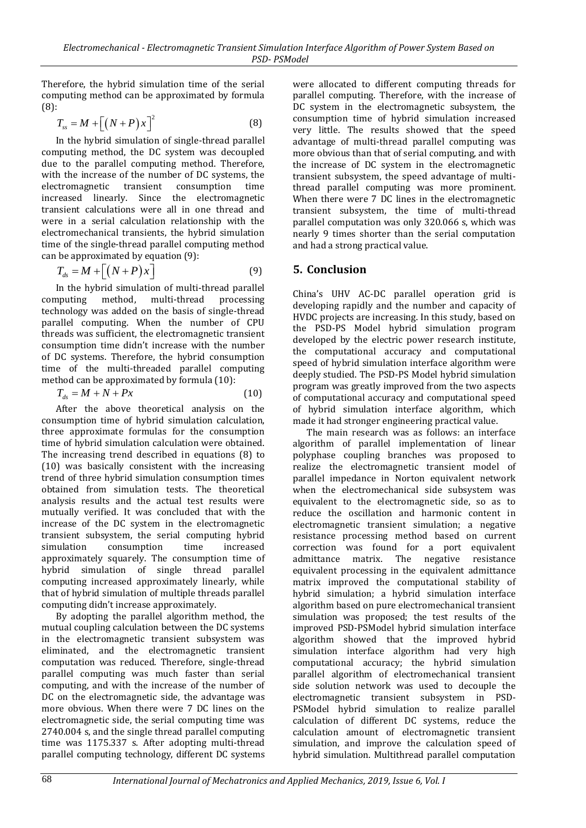Therefore, the hybrid simulation time of the serial computing method can be approximated by formula (8):

$$
T_{ss} = M + \left[ \left( N + P \right) x \right]^2 \tag{8}
$$

In the hybrid simulation of single-thread parallel computing method, the DC system was decoupled due to the parallel computing method. Therefore, with the increase of the number of DC systems, the electromagnetic transient consumption time increased linearly. Since the electromagnetic transient calculations were all in one thread and were in a serial calculation relationship with the electromechanical transients, the hybrid simulation time of the single-thread parallel computing method can be approximated by equation (9):

$$
T_{ds} = M + \left[ \left( N + P \right) x \right] \tag{9}
$$

In the hybrid simulation of multi-thread parallel computing method, multi-thread processing technology was added on the basis of single-thread parallel computing. When the number of CPU threads was sufficient, the electromagnetic transient consumption time didn't increase with the number of DC systems. Therefore, the hybrid consumption time of the multi-threaded parallel computing method can be approximated by formula (10):

$$
T_{ds} = M + N + Px \tag{10}
$$

After the above theoretical analysis on the consumption time of hybrid simulation calculation, three approximate formulas for the consumption time of hybrid simulation calculation were obtained. The increasing trend described in equations (8) to (10) was basically consistent with the increasing trend of three hybrid simulation consumption times obtained from simulation tests. The theoretical analysis results and the actual test results were mutually verified. It was concluded that with the increase of the DC system in the electromagnetic transient subsystem, the serial computing hybrid simulation consumption time increased approximately squarely. The consumption time of hybrid simulation of single thread parallel computing increased approximately linearly, while that of hybrid simulation of multiple threads parallel computing didn't increase approximately.

By adopting the parallel algorithm method, the mutual coupling calculation between the DC systems in the electromagnetic transient subsystem was eliminated, and the electromagnetic transient computation was reduced. Therefore, single-thread parallel computing was much faster than serial computing, and with the increase of the number of DC on the electromagnetic side, the advantage was more obvious. When there were 7 DC lines on the electromagnetic side, the serial computing time was 2740.004 s, and the single thread parallel computing time was 1175.337 s. After adopting multi-thread parallel computing technology, different DC systems

were allocated to different computing threads for parallel computing. Therefore, with the increase of DC system in the electromagnetic subsystem, the consumption time of hybrid simulation increased very little. The results showed that the speed advantage of multi-thread parallel computing was more obvious than that of serial computing, and with the increase of DC system in the electromagnetic transient subsystem, the speed advantage of multithread parallel computing was more prominent. When there were 7 DC lines in the electromagnetic transient subsystem, the time of multi-thread parallel computation was only 320.066 s, which was nearly 9 times shorter than the serial computation and had a strong practical value.

# **5. Conclusion**

China's UHV AC-DC parallel operation grid is developing rapidly and the number and capacity of HVDC projects are increasing. In this study, based on the PSD-PS Model hybrid simulation program developed by the electric power research institute, the computational accuracy and computational speed of hybrid simulation interface algorithm were deeply studied. The PSD-PS Model hybrid simulation program was greatly improved from the two aspects of computational accuracy and computational speed of hybrid simulation interface algorithm, which made it had stronger engineering practical value.

The main research was as follows: an interface algorithm of parallel implementation of linear polyphase coupling branches was proposed to realize the electromagnetic transient model of parallel impedance in Norton equivalent network when the electromechanical side subsystem was equivalent to the electromagnetic side, so as to reduce the oscillation and harmonic content in electromagnetic transient simulation; a negative resistance processing method based on current correction was found for a port equivalent admittance matrix. The negative resistance equivalent processing in the equivalent admittance matrix improved the computational stability of hybrid simulation; a hybrid simulation interface algorithm based on pure electromechanical transient simulation was proposed; the test results of the improved PSD-PSModel hybrid simulation interface algorithm showed that the improved hybrid simulation interface algorithm had very high computational accuracy; the hybrid simulation parallel algorithm of electromechanical transient side solution network was used to decouple the electromagnetic transient subsystem in PSD-PSModel hybrid simulation to realize parallel calculation of different DC systems, reduce the calculation amount of electromagnetic transient simulation, and improve the calculation speed of hybrid simulation. Multithread parallel computation